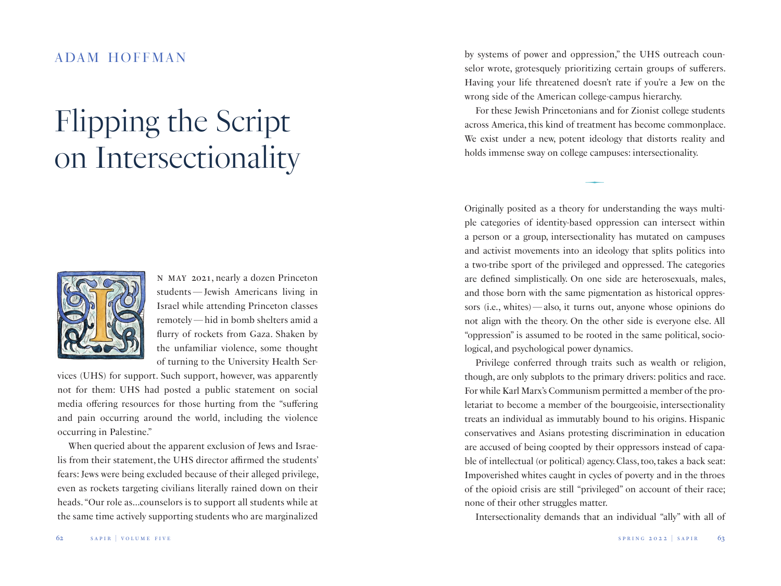## adam hoffman

## *Flipping the Script on Intersectionality*



n may 2021, nearly a dozen Princeton students—Jewish Americans living in Israel while attending Princeton classes remotely—hid in bomb shelters amid a flurry of rockets from Gaza. Shaken by the unfamiliar violence, some thought of turning to the University Health Ser-

vices (UHS) for support. Such support, however, was apparently not for them: UHS had posted a public statement on social media offering resources for those hurting from the "suffering and pain occurring around the world, including the violence occurring in Palestine."

When queried about the apparent exclusion of Jews and Israelis from their statement, the UHS director affirmed the students' fears: Jews were being excluded because of their alleged privilege, even as rockets targeting civilians literally rained down on their heads. "Our role as…counselors is to support all students while at the same time actively supporting students who are marginalized

by systems of power and oppression," the UHS outreach counselor wrote, grotesquely prioritizing certain groups of sufferers. Having your life threatened doesn't rate if you're a Jew on the wrong side of the American college-campus hierarchy.

For these Jewish Princetonians and for Zionist college students across America, this kind of treatment has become commonplace. We exist under a new, potent ideology that distorts reality and holds immense sway on college campuses: intersectionality.

 $\overline{\phantom{0}}$ 

Originally posited as a theory for understanding the ways multiple categories of identity-based oppression can intersect within a person or a group, intersectionality has mutated on campuses and activist movements into an ideology that splits politics into a two-tribe sport of the privileged and oppressed. The categories are defined simplistically. On one side are heterosexuals, males, and those born with the same pigmentation as historical oppressors (i.e., whites)—also, it turns out, anyone whose opinions do not align with the theory. On the other side is everyone else. All "oppression" is assumed to be rooted in the same political, sociological, and psychological power dynamics.

Privilege conferred through traits such as wealth or religion, though, are only subplots to the primary drivers: politics and race. For while Karl Marx's Communism permitted a member of the proletariat to become a member of the bourgeoisie, intersectionality treats an individual as immutably bound to his origins. Hispanic conservatives and Asians protesting discrimination in education are accused of being coopted by their oppressors instead of capable of intellectual (or political) agency. Class, too, takes a back seat: Impoverished whites caught in cycles of poverty and in the throes of the opioid crisis are still "privileged" on account of their race; none of their other struggles matter.

Intersectionality demands that an individual "ally" with all of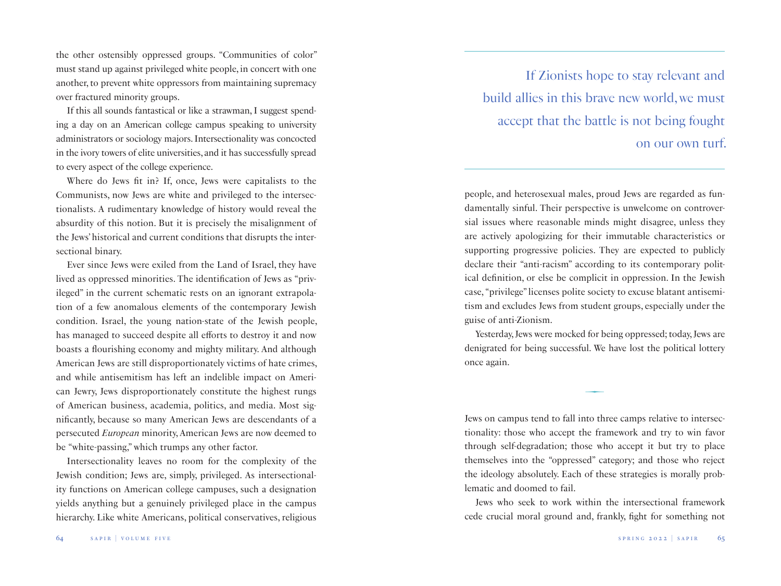the other ostensibly oppressed groups. "Communities of color" must stand up against privileged white people, in concert with one another, to prevent white oppressors from maintaining supremacy over fractured minority groups.

If this all sounds fantastical or like a strawman, I suggest spending a day on an American college campus speaking to university administrators or sociology majors. Intersectionality was concocted in the ivory towers of elite universities, and it has successfully spread to every aspect of the college experience.

Where do Jews fit in? If, once, Jews were capitalists to the Communists, now Jews are white and privileged to the intersectionalists. A rudimentary knowledge of history would reveal the absurdity of this notion. But it is precisely the misalignment of the Jews' historical and current conditions that disrupts the intersectional binary.

Ever since Jews were exiled from the Land of Israel, they have lived as oppressed minorities. The identification of Jews as "privileged" in the current schematic rests on an ignorant extrapolation of a few anomalous elements of the contemporary Jewish condition. Israel, the young nation-state of the Jewish people, has managed to succeed despite all efforts to destroy it and now boasts a flourishing economy and mighty military. And although American Jews are still disproportionately victims of hate crimes, and while antisemitism has left an indelible impact on American Jewry, Jews disproportionately constitute the highest rungs of American business, academia, politics, and media. Most significantly, because so many American Jews are descendants of a persecuted *European* minority, American Jews are now deemed to be "white-passing," which trumps any other factor.

Intersectionality leaves no room for the complexity of the Jewish condition; Jews are, simply, privileged. As intersectionality functions on American college campuses, such a designation yields anything but a genuinely privileged place in the campus hierarchy. Like white Americans, political conservatives, religious

If Zionists hope to stay relevant and build allies in this brave new world, we must accept that the battle is not being fought on our own turf.

people, and heterosexual males, proud Jews are regarded as fundamentally sinful. Their perspective is unwelcome on controversial issues where reasonable minds might disagree, unless they are actively apologizing for their immutable characteristics or supporting progressive policies. They are expected to publicly declare their "anti-racism" according to its contemporary political definition, or else be complicit in oppression. In the Jewish case, "privilege" licenses polite society to excuse blatant antisemitism and excludes Jews from student groups, especially under the guise of anti-Zionism.

Yesterday, Jews were mocked for being oppressed; today, Jews are denigrated for being successful. We have lost the political lottery once again.

 $\overline{\phantom{0}}$ 

Jews on campus tend to fall into three camps relative to intersectionality: those who accept the framework and try to win favor through self-degradation; those who accept it but try to place themselves into the "oppressed" category; and those who reject the ideology absolutely. Each of these strategies is morally problematic and doomed to fail.

Jews who seek to work within the intersectional framework cede crucial moral ground and, frankly, fight for something not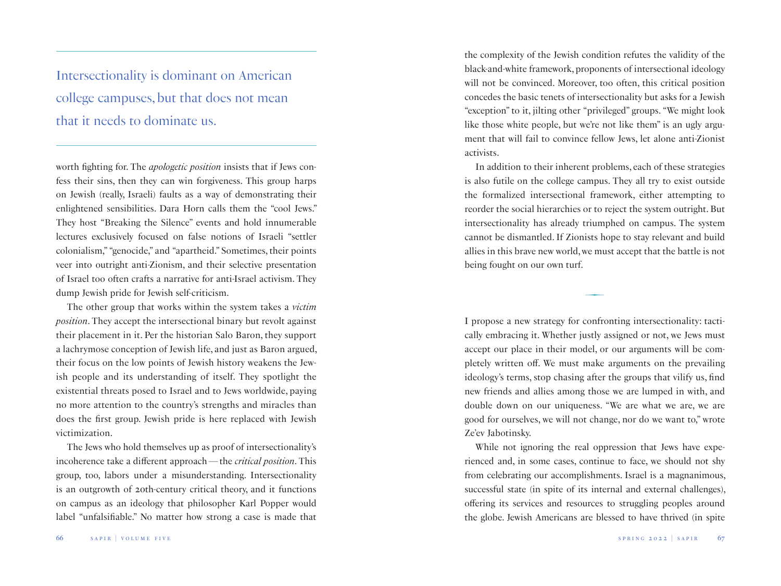Intersectionality is dominant on American college campuses, but that does not mean that it needs to dominate us.

worth fighting for. The *apologetic position* insists that if Jews confess their sins, then they can win forgiveness. This group harps on Jewish (really, Israeli) faults as a way of demonstrating their enlightened sensibilities. Dara Horn calls them the "cool Jews." They host "Breaking the Silence" events and hold innumerable lectures exclusively focused on false notions of Israeli "settler colonialism," "genocide," and "apartheid." Sometimes, their points veer into outright anti-Zionism, and their selective presentation of Israel too often crafts a narrative for anti-Israel activism. They dump Jewish pride for Jewish self-criticism.

The other group that works within the system takes a *victim position*. They accept the intersectional binary but revolt against their placement in it. Per the historian Salo Baron, they support a lachrymose conception of Jewish life, and just as Baron argued, their focus on the low points of Jewish history weakens the Jewish people and its understanding of itself. They spotlight the existential threats posed to Israel and to Jews worldwide, paying no more attention to the country's strengths and miracles than does the first group. Jewish pride is here replaced with Jewish victimization.

The Jews who hold themselves up as proof of intersectionality's incoherence take a different approach—the *critical position*. This group, too, labors under a misunderstanding. Intersectionality is an outgrowth of 20th-century critical theory, and it functions on campus as an ideology that philosopher Karl Popper would label "unfalsifiable." No matter how strong a case is made that the complexity of the Jewish condition refutes the validity of the black-and-white framework, proponents of intersectional ideology will not be convinced. Moreover, too often, this critical position concedes the basic tenets of intersectionality but asks for a Jewish "exception" to it, jilting other "privileged" groups. "We might look like those white people, but we're not like them" is an ugly argument that will fail to convince fellow Jews, let alone anti-Zionist activists.

In addition to their inherent problems, each of these strategies is also futile on the college campus. They all try to exist outside the formalized intersectional framework, either attempting to reorder the social hierarchies or to reject the system outright. But intersectionality has already triumphed on campus. The system cannot be dismantled. If Zionists hope to stay relevant and build allies in this brave new world, we must accept that the battle is not being fought on our own turf.

 $\overline{\phantom{0}}$ 

I propose a new strategy for confronting intersectionality: tactically embracing it. Whether justly assigned or not, we Jews must accept our place in their model, or our arguments will be completely written off. We must make arguments on the prevailing ideology's terms, stop chasing after the groups that vilify us, find new friends and allies among those we are lumped in with, and double down on our uniqueness. "We are what we are, we are good for ourselves, we will not change, nor do we want to," wrote Ze'ev Jabotinsky.

While not ignoring the real oppression that Jews have experienced and, in some cases, continue to face, we should not shy from celebrating our accomplishments. Israel is a magnanimous, successful state (in spite of its internal and external challenges), offering its services and resources to struggling peoples around the globe. Jewish Americans are blessed to have thrived (in spite